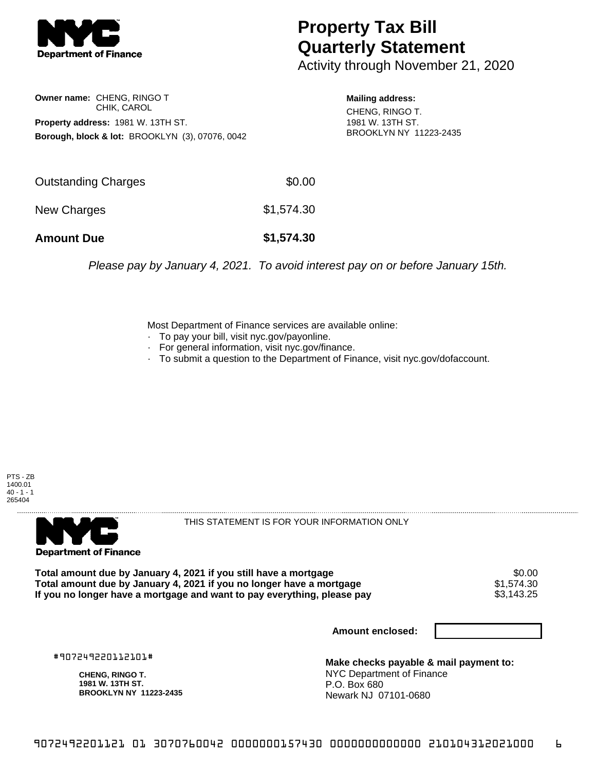

## **Property Tax Bill Quarterly Statement**

Activity through November 21, 2020

**Owner name:** CHENG, RINGO T CHIK, CAROL **Property address:** 1981 W. 13TH ST. **Borough, block & lot:** BROOKLYN (3), 07076, 0042

**Mailing address:** CHENG, RINGO T. 1981 W. 13TH ST. BROOKLYN NY 11223-2435

| <b>Amount Due</b>   | \$1,574.30 |
|---------------------|------------|
| New Charges         | \$1,574.30 |
| Outstanding Charges | \$0.00     |

Please pay by January 4, 2021. To avoid interest pay on or before January 15th.

Most Department of Finance services are available online:

- · To pay your bill, visit nyc.gov/payonline.
- For general information, visit nyc.gov/finance.
- · To submit a question to the Department of Finance, visit nyc.gov/dofaccount.





THIS STATEMENT IS FOR YOUR INFORMATION ONLY

Total amount due by January 4, 2021 if you still have a mortgage \$0.00<br>Total amount due by January 4, 2021 if you no longer have a mortgage \$1.574.30 **Total amount due by January 4, 2021 if you no longer have a mortgage**  $$1,574.30$ **<br>If you no longer have a mortgage and want to pay everything, please pay <b>show that the summan set of the s**3,143.25 If you no longer have a mortgage and want to pay everything, please pay

**Amount enclosed:**

#907249220112101#

**CHENG, RINGO T. 1981 W. 13TH ST. BROOKLYN NY 11223-2435**

**Make checks payable & mail payment to:** NYC Department of Finance P.O. Box 680 Newark NJ 07101-0680